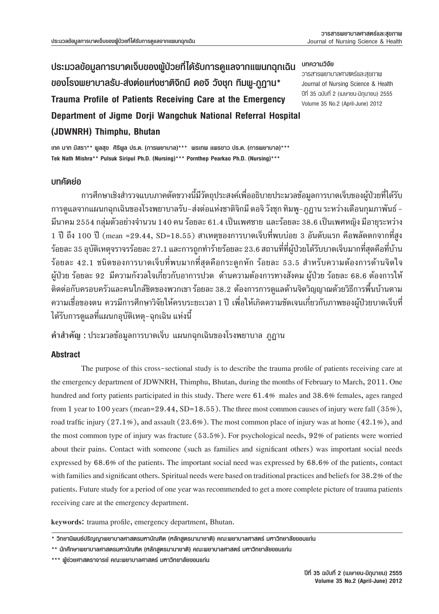## **ประมวลข้อมูลการบาดเจ็บของผู้ป่วยที่ได้รับการดูแลจากแผนกฉุกเฉิน ของโรงพยาบาลรับ-สงตอแหงชาติจิกมี ดอจิ วังชุก ทิมพู-ภูฏาน\* Trauma Profile of Patients Receiving Care at the Emergency Department of Jigme Dorji Wangchuk National Referral Hospital (JDWNRH) Thimphu, Bhutan**

#### **บทความวิจัย**

วารสารพยาบาลศาสตรและสุขภาพ Journal of Nursing Science & Health ปที่ 35 ฉบับที่ 2 (เมษายน-มิถุนายน) 2555 Volume 35 No.2 (April-June) 2012

**เทค นาท มิสรา\*\* พูลสุข ศิริพูล ปร.ด. (การพยาบาล)\*\*\* พรเทพ แพรขาว ปร.ด. (การพยาบาล)\*\*\* Tek Nath Mishra\*\* Pulsuk Siripul Ph.D. (Nursing)\*\*\* Pornthep Pearkao Ph.D. (Nursing)\*\*\***

#### **บทคัดยอ**

 การศึกษาเชิงสํารวจแบบภาคตัดขวางนี้มีวัตถุประสงคเพื่ออธิบายประมวลขอมูลการบาดเจ็บของผูปวยที่ไดรับ การดูแลจากแผนกฉุกเฉินของโรงพยาบาลรับ-ส่งต่อแห่งชาติจิกมี ดอจิ วังชุก ทิมพู-ภูฏาน ระหว่างเดือนกุมภาพันธ์ -มีนาคม 2554 กลุ่มตัวอย่างจำนวน 140 คน ร้อยละ 61.4 เป็นเพศชาย และร้อยละ 38.6 เป็นเพศหญิง มีอายุระหว่าง  $1$  ปี ถึง  $100$  ปี (mean =29.44, SD=18.55) สาเหตุของการบาดเจ็บที่พบบ่อย 3 อันดับแรก คือพลัดตกจากที่สูง ์ ร้อยละ 35 อุบัติเหตุจราจรร้อยละ 27.1 และการถูกทำร้ายร้อยละ 23.6 สถานที่ที่ผู้ป่วยได้รับบาดเจ็บมากที่สุดคือที่บ้าน ูร้อยละ 42.1 ชนิดของการบาดเจ็บที่พบมากที่สุดคือกระดูกหัก ร้อยละ 53.5 สำหรับความต้องการด้านจิตใจ ์ ผู้ป่วย ร้อยละ 92 มีความกังวลใจเกี่ยวกับอาการปวด ด้านความต้องการทางสังคม ผู้ป่วย ร้อยละ 68.6 ต้องการให้ ติดต่อกับครอบครัวและคนใกล้ชิดของพวกเขา ร้อยละ 38.2 ต้องการการดูแลด้านจิตวิญญาณด้วยวิธีการพื้นบ้านตาม ความเชื่อของตน ควรมีการศึกษาวิจัยใหครบระยะเวลา 1 ป เพื่อใหเกิดความชัดเจนเกี่ยวกับภาพของผูปวยบาดเจ็บที่ ได้รับการดูแลที่แผนกอุบัติเหตุ-ฉุกเฉิน แห่งนี้

**คำสำคัญ :** ประมวลข้อมลการบาดเจ็บ แผนกฉกเฉินของโรงพยาบาล ภฎาน

## **Abstract**

The purpose of this cross-sectional study is to describe the trauma profile of patients receiving care at the emergency department of JDWNRH, Thimphu, Bhutan, during the months of February to March, 2011. One hundred and forty patients participated in this study. There were 61.4% males and 38.6% females, ages ranged from 1 year to 100 years (mean=29.44, SD=18.55). The three most common causes of injury were fall  $(35\%)$ , road traffic injury  $(27.1\%)$ , and assault  $(23.6\%)$ . The most common place of injury was at home  $(42.1\%)$ , and the most common type of injury was fracture  $(53.5\%)$ . For psychological needs, 92% of patients were worried about their pains. Contact with someone (such as families and significant others) was important social needs expressed by 68.6% of the patients. The important social need was expressed by 68.6% of the patients, contact with families and significant others. Spiritual needs were based on traditional practices and beliefs for 38.2% of the patients. Future study for a period of one year was recommended to get a more complete picture of trauma patients receiving care at the emergency department.

keywords: trauma profile, emergency department, Bhutan.

**<sup>\*</sup> วิทยานิพนธ์ปริญญาพยาบาลศาสตรมหาบัณฑิต (หลักสูตรนานาชาติ) คณะพยาบาลศาสตร์ มหาวิทยาลัยขอนแกน**

**<sup>\*\*</sup> นักศึกษาพยาบาลศาสตรมหาบัณฑิต (หลักสูตรนานาชาติ) คณะพยาบาลศาสตร์ มหาวิทยาลัยขอนแกน**

**<sup>\*\*\*</sup> ผู้ชวยศาสตราจารย์ คณะพยาบาลศาสตร์ มหาวิทยาลัยขอนแกน**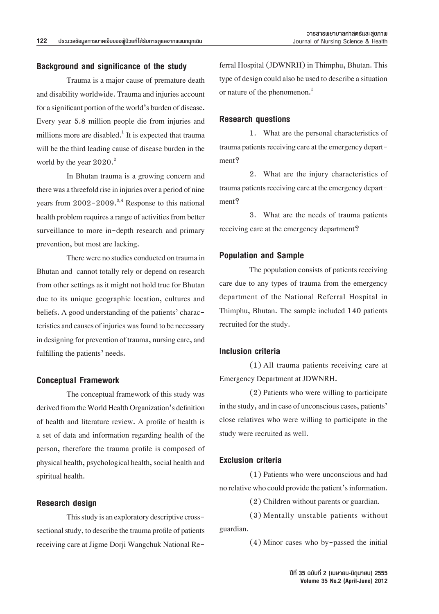#### **Background and significance of the study**

 Trauma is a major cause of premature death and disability worldwide. Trauma and injuries account for a significant portion of the world's burden of disease. Every year 5.8 million people die from injuries and millions more are disabled.<sup>1</sup> It is expected that trauma will be the third leading cause of disease burden in the world by the year  $2020.<sup>2</sup>$ 

 In Bhutan trauma is a growing concern and there was a threefold rise in injuries over a period of nine years from  $2002 - 2009$ .<sup>3,4</sup> Response to this national health problem requires a range of activities from better surveillance to more in-depth research and primary prevention, but most are lacking.

There were no studies conducted on trauma in Bhutan and cannot totally rely or depend on research from other settings as it might not hold true for Bhutan due to its unique geographic location, cultures and beliefs. A good understanding of the patients' characteristics and causes of injuries was found to be necessary in designing for prevention of trauma, nursing care, and fulfilling the patients' needs.

### **Conceptual Framework**

 The conceptual framework of this study was derived from the World Health Organization's definition of health and literature review. A profile of health is a set of data and information regarding health of the person, therefore the trauma profile is composed of physical health, psychological health, social health and spiritual health.

#### **Research design**

This study is an exploratory descriptive crosssectional study, to describe the trauma profile of patients receiving care at Jigme Dorji Wangchuk National Re-

ferral Hospital (JDWNRH) in Thimphu, Bhutan. This type of design could also be used to describe a situation or nature of the phenomenon.<sup>5</sup>

## **Research questions**

1. What are the personal characteristics of trauma patients receiving care at the emergency department?

 2. What are the injury characteristics of trauma patients receiving care at the emergency department?

 3. What are the needs of trauma patients receiving care at the emergency department?

#### **Population and Sample**

The population consists of patients receiving care due to any types of trauma from the emergency department of the National Referral Hospital in Thimphu, Bhutan. The sample included 140 patients recruited for the study.

#### **Inclusion criteria**

 (1) All trauma patients receiving care at Emergency Department at JDWNRH.

 (2) Patients who were willing to participate in the study, and in case of unconscious cases, patients' close relatives who were willing to participate in the study were recruited as well.

#### **Exclusion criteria**

 (1)Patients who were unconscious and had no relative who could provide the patient's information.

 $(2)$  Children without parents or guardian.

 (3) Mentally unstable patients without guardian.

 (4) Minor cases who by-passed the initial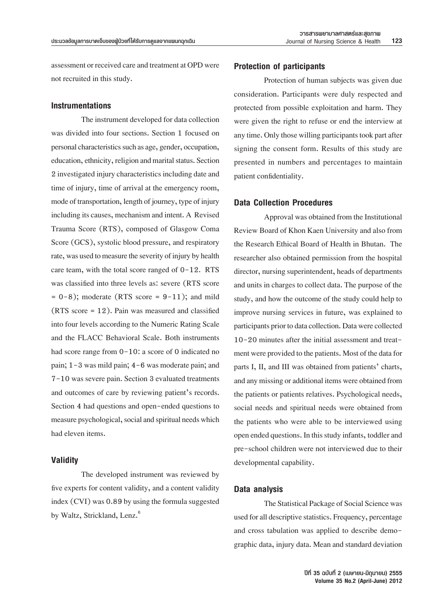assessment or received care and treatment at OPD were not recruited in this study.

#### **Instrumentations**

The instrument developed for data collection was divided into four sections. Section 1 focused on personal characteristics such as age, gender, occupation, education, ethnicity, religion and marital status. Section 2 investigated injury characteristics including date and time of injury, time of arrival at the emergency room, mode of transportation, length of journey, type of injury including its causes, mechanism and intent. A Revised Trauma Score (RTS), composed of Glasgow Coma Score (GCS), systolic blood pressure, and respiratory rate, was used to measure the severity of injury by health care team, with the total score ranged of 0-12. RTS was classified into three levels as: severe (RTS score  $= 0-8$ ; moderate (RTS score  $= 9-11$ ); and mild (RTS score = 12). Pain was measured and classified into four levels according to the Numeric Rating Scale and the FLACC Behavioral Scale. Both instruments had score range from  $0-10$ : a score of 0 indicated no pain; 1-3 was mild pain; 4-6 was moderate pain; and 7-10 was severe pain. Section 3 evaluated treatments and outcomes of care by reviewing patient's records. Section 4 had questions and open-ended questions to measure psychological, social and spiritual needs which had eleven items.

### **Validity**

 The developed instrument was reviewed by five experts for content validity, and a content validity index  $(CVI)$  was 0.89 by using the formula suggested by Waltz, Strickland, Lenz.<sup>6</sup>

#### **Protection of participants**

 Protection of human subjects was given due consideration. Participants were duly respected and protected from possible exploitation and harm. They were given the right to refuse or end the interview at any time. Only those willing participants took part after signing the consent form. Results of this study are presented in numbers and percentages to maintain patient confidentiality.

#### **Data Collection Procedures**

Approval was obtained from the Institutional Review Board of Khon Kaen University and also from the Research Ethical Board of Health in Bhutan. The researcher also obtained permission from the hospital director, nursing superintendent, heads of departments and units in charges to collect data. The purpose of the study, and how the outcome of the study could help to improve nursing services in future, was explained to participants prior to data collection. Data were collected 10-20 minutes after the initial assessment and treatment were provided to the patients. Most of the data for parts I, II, and III was obtained from patients' charts, and any missing or additional items were obtained from the patients or patients relatives. Psychological needs, social needs and spiritual needs were obtained from the patients who were able to be interviewed using open ended questions. In this study infants, toddler and pre-school children were not interviewed due to their developmental capability.

#### **Data analysis**

The Statistical Package of Social Science was used for all descriptive statistics. Frequency, percentage and cross tabulation was applied to describe demographic data, injury data. Mean and standard deviation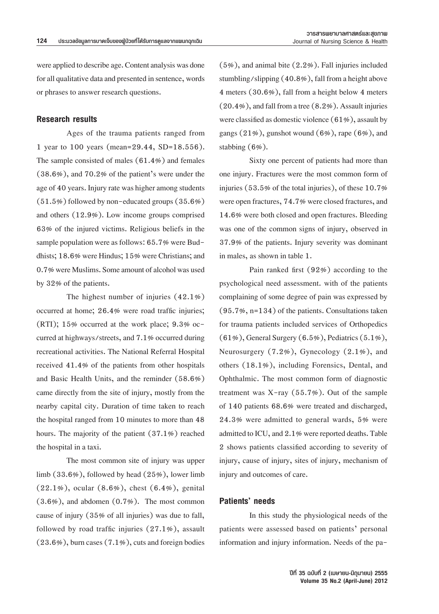were applied to describe age. Content analysis was done for all qualitative data and presented in sentence, words or phrases to answer research questions.

## **Research results**

 Ages of the trauma patients ranged from 1 year to 100 years (mean=29.44, SD=18.556). The sample consisted of males (61.4%) and females (38.6%), and 70.2% of the patient's were under the age of 40 years. Injury rate was higher among students  $(51.5\%)$  followed by non-educated groups  $(35.6\%)$ and others (12.9%). Low income groups comprised 63% of the injured victims. Religious beliefs in the sample population were as follows: 65.7% were Buddhists; 18.6% were Hindus; 15% were Christians; and 0.7% were Muslims. Some amount of alcohol was used by  $32\%$  of the patients.

 The highest number of injuries (42.1%) occurred at home; 26.4% were road traffic injuries; (RTI); 15% occurred at the work place; 9.3% occurred at highways/streets, and 7.1% occurred during recreational activities. The National Referral Hospital received 41.4% of the patients from other hospitals and Basic Health Units, and the reminder (58.6%) came directly from the site of injury, mostly from the nearby capital city. Duration of time taken to reach the hospital ranged from 10 minutes to more than 48 hours. The majority of the patient (37.1%) reached the hospital in a taxi.

 The most common site of injury was upper limb  $(33.6\%)$ , followed by head  $(25\%)$ , lower limb  $(22.1\%)$ , ocular  $(8.6\%)$ , chest  $(6.4\%)$ , genital  $(3.6\%)$ , and abdomen  $(0.7\%)$ . The most common cause of injury (35% of all injuries) was due to fall, followed by road traffic injuries (27.1%), assault  $(23.6\%)$ , burn cases  $(7.1\%)$ , cuts and foreign bodies

 $(5\%)$ , and animal bite  $(2.2\%)$ . Fall injuries included stumbling/slipping  $(40.8\%)$ , fall from a height above 4 meters (30.6%), fall from a height below 4 meters  $(20.4\%)$ , and fall from a tree  $(8.2\%)$ . Assault injuries were classified as domestic violence  $(61\%)$ , assault by gangs  $(21\%)$ , gunshot wound  $(6\%)$ , rape  $(6\%)$ , and stabbing  $(6%)$ .

 Sixty one percent of patients had more than one injury. Fractures were the most common form of injuries (53.5% of the total injuries), of these  $10.7%$ were open fractures, 74.7% were closed fractures, and 14.6% were both closed and open fractures. Bleeding was one of the common signs of injury, observed in 37.9% of the patients. Injury severity was dominant in males, as shown in table 1.

 Pain ranked first (92%) according to the psychological need assessment. with of the patients complaining of some degree of pain was expressed by  $(95.7\%, n=134)$  of the patients. Consultations taken for trauma patients included services of Orthopedics  $(61\%)$ , General Surgery  $(6.5\%)$ , Pediatrics  $(5.1\%)$ , Neurosurgery  $(7.2\%)$ , Gynecology  $(2.1\%)$ , and others (18.1%), including Forensics, Dental, and Ophthalmic. The most common form of diagnostic treatment was  $X$ -ray (55.7%). Out of the sample of 140 patients 68.6% were treated and discharged, 24.3% were admitted to general wards, 5% were admitted to ICU, and 2.1% were reported deaths. Table 2 shows patients classified according to severity of injury, cause of injury, sites of injury, mechanism of injury and outcomes of care.

#### **Patients' needs**

 In this study the physiological needs of the patients were assessed based on patients' personal information and injury information. Needs of the pa-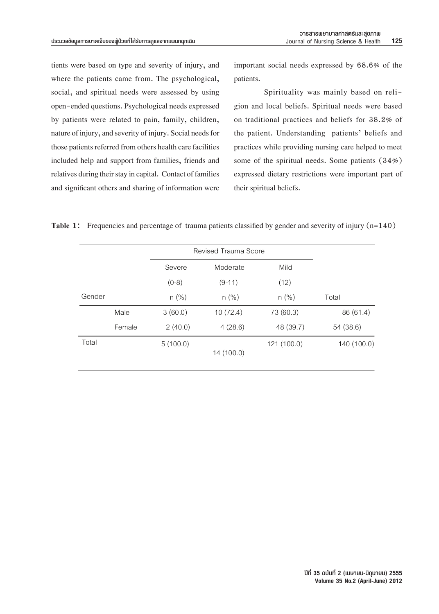tients were based on type and severity of injury, and imp where the patients came from. The psychological, patients social, and spiritual needs were assessed by using open-ended questions. Psychological needs expressed by patients were related to pain, family, children, nature of injury, and severity of injury. Social needs for those patients referred from others health care facilities pract included help and support from families, friends and som relatives during their stay in capital. Contact of families expression and significant others and sharing of information were being

important social needs expressed by 68.6% of the important social needs expressed by 68.6% of the patients.

Spirituality was mainly based on religion and local beliefs. Spiritual needs were based on traditional practices and beliefs for 38.2% of the patient. Understanding patients' beliefs and practices while providing nursing care helped to meet some of the spiritual needs. Some patients  $(34%)$ expressed dietary restrictions were important part of their spiritual beliefs.

```
Table 1: Frequencies and percentage of trauma patients classified by gender and severity of injury (n=140)
```

|        |        | Revised Trauma Score |            |             |             |
|--------|--------|----------------------|------------|-------------|-------------|
|        |        | Severe               | Moderate   | Mild        |             |
|        |        | $(0-8)$              | $(9-11)$   | (12)        |             |
| Gender |        | $n (\%)$             | $n$ (%)    | $n$ (%)     | Total       |
|        | Male   | 3(60.0)              | 10(72.4)   | 73 (60.3)   | 86 (61.4)   |
|        | Female | 2(40.0)              | 4(28.6)    | 48 (39.7)   | 54 (38.6)   |
| Total  |        | 5(100.0)             | 14 (100.0) | 121 (100.0) | 140 (100.0) |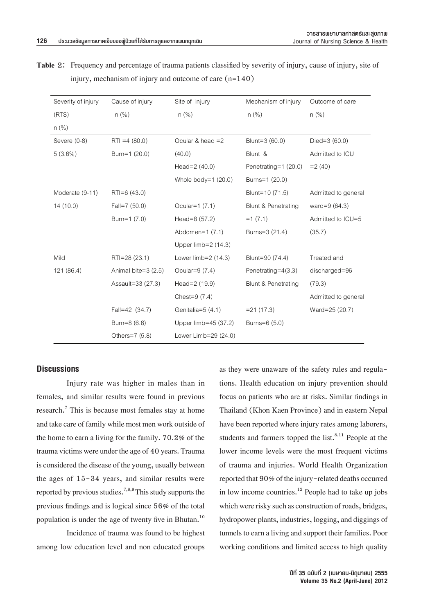7

| Table 2: Frequency and percentage of trauma patients classified by severity of injury, cause of injury, site of |
|-----------------------------------------------------------------------------------------------------------------|
| injury, mechanism of injury and outcome of care $(n=140)$                                                       |

| Severity of injury | Cause of injury     | Site of injury        | Mechanism of injury            | Outcome of care     |
|--------------------|---------------------|-----------------------|--------------------------------|---------------------|
| (RTS)              | $n$ (%)             | $n$ (%)               | $n$ (%)                        | $n$ (%)             |
| $n$ (%)            |                     |                       |                                |                     |
| Severe (0-8)       | $RTI = 4(80.0)$     | Ocular & head $=2$    | Blunt=3 (60.0)                 | Died= $3(60.0)$     |
| $5(3.6\%)$         | Burn=1 (20.0)       | (40.0)                | Blunt &                        | Admitted to ICU     |
|                    |                     | Head= $2(40.0)$       | Penetrating=1 (20.0)           | $=2(40)$            |
|                    |                     | Whole body= $1(20.0)$ | Burns=1 (20.0)                 |                     |
| Moderate (9-11)    | $RTI = 6(43.0)$     |                       | Blunt=10 (71.5)                | Admitted to general |
| 14(10.0)           | Fall=7 (50.0)       | Ocular=1 (7.1)        | <b>Blunt &amp; Penetrating</b> | ward= $9(64.3)$     |
|                    | Burn=1 (7.0)        | Head=8 (57.2)         | $=1$ (7.1)                     | Admitted to ICU=5   |
|                    |                     | Abdomen= $1(7.1)$     | Burns=3 (21.4)                 | (35.7)              |
|                    |                     | Upper $limb=2(14.3)$  |                                |                     |
| Mild               | RTI=28 (23.1)       | Lower limb=2 (14.3)   | Blunt=90 (74.4)                | Treated and         |
| 121 (86.4)         | Animal bite=3 (2.5) | Ocular= $9(7.4)$      | Penetrating= $4(3.3)$          | discharged=96       |
|                    | Assault=33 (27.3)   | Head=2 (19.9)         | Blunt & Penetrating            | (79.3)              |
|                    |                     | Chest= $9(7.4)$       |                                | Admitted to general |
|                    | Fall=42 (34.7)      | Genitalia=5 (4.1)     | $= 21(17.3)$                   | Ward=25 (20.7)      |
|                    | Burn=8 (6.6)        | Upper limb=45 (37.2)  | Burns=6 (5.0)                  |                     |
|                    | Others=7 (5.8)      | Lower Limb=29 (24.0)  |                                |                     |

# **Discussions Discussions**

Injury rate was higher in males than in Injury rate was higher in males than in females, and similar results were found in previous females, and similar results were found in previous research.<sup>7</sup> This is because most females stay at home and take care of family while most men work outside of the home to earn a living for the family. 70.2% of the trauma victims were under the age of 40 years. Trauma is considered the disease of the young, usually between the ages of 15-34 years, and similar results were reported by previous studies.<sup>7,8,9</sup>This study supports the previous findings and is logical since 56% of the total population is under the age of twenty five in Bhutan.<sup>10</sup>

 Incidence of trauma was found to be highest among low education level and non educated groups

as they were unaware of the safety rules and regulations. Health education on injury prevention should focus on patients who are at risks. Similar findings in Thailand (Khon Kaen Province) and in eastern Nepal have been reported where injury rates among laborers, students and farmers topped the list. $8,11$  People at the lower income levels were the most frequent victims of trauma and injuries. World Health Organization reported that 90% of the injury-related deaths occurred in low income countries.<sup>12</sup> People had to take up jobs which were risky such as construction of roads, bridges, hydropower plants, industries, logging, and diggings of tunnels to earn a living and support their families. Poor working conditions and limited access to high quality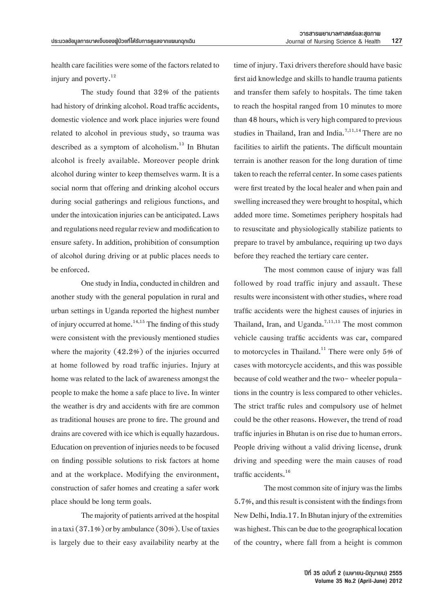health care facilities were some of the factors related to injury and poverty.<sup>12</sup>

 The study found that 32% of the patients had history of drinking alcohol. Road traffic accidents, domestic violence and work place injuries were found related to alcohol in previous study, so trauma was described as a symptom of alcoholism.<sup>13</sup> In Bhutan alcohol is freely available. Moreover people drink alcohol during winter to keep themselves warm. It is a social norm that offering and drinking alcohol occurs during social gatherings and religious functions, and under the intoxication injuries can be anticipated. Laws and regulations need regular review and modification to ensure safety. In addition, prohibition of consumption of alcohol during driving or at public places needs to be enforced.

One study in India, conducted in children and another study with the general population in rural and urban settings in Uganda reported the highest number of injury occurred at home.<sup>14,15</sup> The finding of this study were consistent with the previously mentioned studies where the majority  $(42.2%)$  of the injuries occurred at home followed by road traffic injuries. Injury at home was related to the lack of awareness amongst the people to make the home a safe place to live. In winter the weather is dry and accidents with fire are common as traditional houses are prone to fire. The ground and drains are covered with ice which is equally hazardous. Education on prevention of injuries needs to be focused on finding possible solutions to risk factors at home and at the workplace. Modifying the environment, construction of safer homes and creating a safer work place should be long term goals.

The majority of patients arrived at the hospital in a taxi  $(37.1\%)$  or by ambulance  $(30\%)$ . Use of taxies is largely due to their easy availability nearby at the

time of injury. Taxi drivers therefore should have basic first aid knowledge and skills to handle trauma patients and transfer them safely to hospitals. The time taken to reach the hospital ranged from 10 minutes to more than 48 hours, which is very high compared to previous studies in Thailand, Iran and India.<sup>7,11,14</sup> There are no facilities to airlift the patients. The difficult mountain terrain is another reason for the long duration of time taken to reach the referral center. In some cases patients were first treated by the local healer and when pain and swelling increased they were brought to hospital, which added more time. Sometimes periphery hospitals had to resuscitate and physiologically stabilize patients to prepare to travel by ambulance, requiring up two days before they reached the tertiary care center.

 The most common cause of injury was fall followed by road traffic injury and assault. These results were inconsistent with other studies, where road traffic accidents were the highest causes of injuries in Thailand, Iran, and Uganda.<sup>7,11,15</sup> The most common vehicle causing traffic accidents was car, compared to motorcycles in Thailand.<sup>11</sup> There were only  $5\%$  of cases with motorcycle accidents, and this was possible because of cold weather and the two- wheeler populations in the country is less compared to other vehicles. The strict traffic rules and compulsory use of helmet could be the other reasons. However, the trend of road traffic injuries in Bhutan is on rise due to human errors. People driving without a valid driving license, drunk driving and speeding were the main causes of road traffic accidents.16

The most common site of injury was the limbs 5.7%, and this result is consistent with the findings from New Delhi, India.17. In Bhutan injury of the extremities was highest. This can be due to the geographical location of the country, where fall from a height is common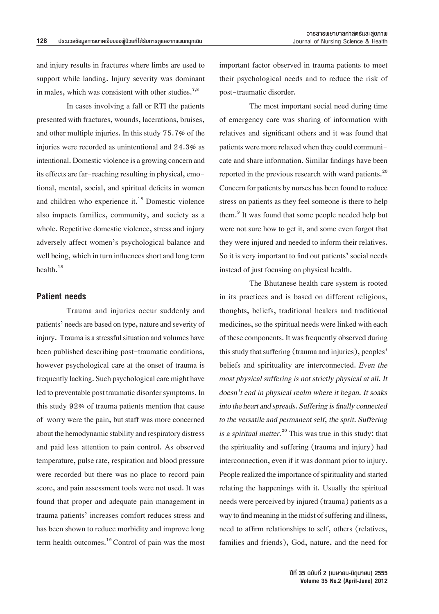and injury results in fractures where limbs are used to support while landing. Injury severity was dominant in males, which was consistent with other studies.<sup>7,8</sup>

 In cases involving a fall or RTI the patients presented with fractures, wounds, lacerations, bruises, and other multiple injuries. In this study 75.7% of the injuries were recorded as unintentional and 24.3% as intentional. Domestic violence is a growing concern and its effects are far-reaching resulting in physical, emotional, mental, social, and spiritual deficits in women and children who experience it. $^{18}$  Domestic violence also impacts families, community, and society as a whole. Repetitive domestic violence, stress and injury adversely affect women's psychological balance and well being, which in turn influences short and long term health.18

### **Patient needs**

 Trauma and injuries occur suddenly and patients' needs are based on type, nature and severity of injury. Trauma is a stressful situation and volumes have been published describing post-traumatic conditions, however psychological care at the onset of trauma is frequently lacking. Such psychological care might have led to preventable post traumatic disorder symptoms. In this study 92% of trauma patients mention that cause of worry were the pain, but staff was more concerned about the hemodynamic stability and respiratory distress and paid less attention to pain control. As observed temperature, pulse rate, respiration and blood pressure were recorded but there was no place to record pain score, and pain assessment tools were not used. It was found that proper and adequate pain management in trauma patients' increases comfort reduces stress and has been shown to reduce morbidity and improve long term health outcomes.<sup>19</sup> Control of pain was the most

important factor observed in trauma patients to meet their psychological needs and to reduce the risk of post-traumatic disorder.

 The most important social need during time of emergency care was sharing of information with relatives and significant others and it was found that patients were more relaxed when they could communicate and share information. Similar findings have been reported in the previous research with ward patients.<sup>20</sup> Concern for patients by nurses has been found to reduce stress on patients as they feel someone is there to help them.<sup>9</sup> It was found that some people needed help but were not sure how to get it, and some even forgot that they were injured and needed to inform their relatives. So it is very important to find out patients' social needs instead of just focusing on physical health.

 The Bhutanese health care system is rooted in its practices and is based on different religions, thoughts, beliefs, traditional healers and traditional medicines, so the spiritual needs were linked with each of these components. It was frequently observed during this study that suffering (trauma and injuries), peoples' beliefs and spirituality are interconnected. *Even the most physical suffering is not strictly physical at all. It doesn't end in physical realm where it began. It soaks into the heart and spreads. Suffering is finally connected to the versatile and permanent self, the sprit. Suffering is a spiritual matter.*<sup>20</sup> This was true in this study: that the spirituality and suffering (trauma and injury) had interconnection, even if it was dormant prior to injury. People realized the importance of spirituality and started relating the happenings with it. Usually the spiritual needs were perceived by injured (trauma) patients as a way to find meaning in the midst of suffering and illness, need to affirm relationships to self, others (relatives, families and friends), God, nature, and the need for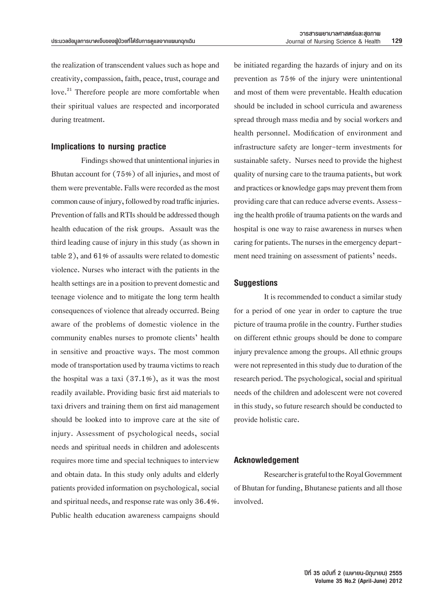the realization of transcendent values such as hope and creativity, compassion, faith, peace, trust, courage and love.<sup>21</sup> Therefore people are more comfortable when their spiritual values are respected and incorporated during treatment.

#### **Implications to nursing practice**

Findings showed that unintentional injuries in Bhutan account for  $(75%)$  of all injuries, and most of them were preventable. Falls were recorded as the most common cause of injury, followed by road traffic injuries. Prevention of falls and RTIs should be addressed though health education of the risk groups. Assault was the third leading cause of injury in this study (as shown in table 2), and  $61\%$  of assaults were related to domestic violence. Nurses who interact with the patients in the health settings are in a position to prevent domestic and teenage violence and to mitigate the long term health consequences of violence that already occurred. Being aware of the problems of domestic violence in the community enables nurses to promote clients' health in sensitive and proactive ways. The most common mode of transportation used by trauma victims to reach the hospital was a taxi  $(37.1\%)$ , as it was the most readily available. Providing basic first aid materials to taxi drivers and training them on first aid management should be looked into to improve care at the site of injury. Assessment of psychological needs, social needs and spiritual needs in children and adolescents requires more time and special techniques to interview and obtain data. In this study only adults and elderly patients provided information on psychological, social and spiritual needs, and response rate was only 36.4%. Public health education awareness campaigns should

be initiated regarding the hazards of injury and on its prevention as 75% of the injury were unintentional and most of them were preventable. Health education should be included in school curricula and awareness spread through mass media and by social workers and health personnel. Modification of environment and infrastructure safety are longer-term investments for sustainable safety. Nurses need to provide the highest quality of nursing care to the trauma patients, but work and practices or knowledge gaps may prevent them from providing care that can reduce adverse events. Assessing the health profile of trauma patients on the wards and hospital is one way to raise awareness in nurses when caring for patients. The nurses in the emergency department need training on assessment of patients' needs.

### **Suggestions**

It is recommended to conduct a similar study for a period of one year in order to capture the true picture of trauma profile in the country. Further studies on different ethnic groups should be done to compare injury prevalence among the groups. All ethnic groups were not represented in this study due to duration of the research period. The psychological, social and spiritual needs of the children and adolescent were not covered in this study, so future research should be conducted to provide holistic care.

### **Acknowledgement**

Researcher is grateful to the Royal Government of Bhutan for funding, Bhutanese patients and all those involved.